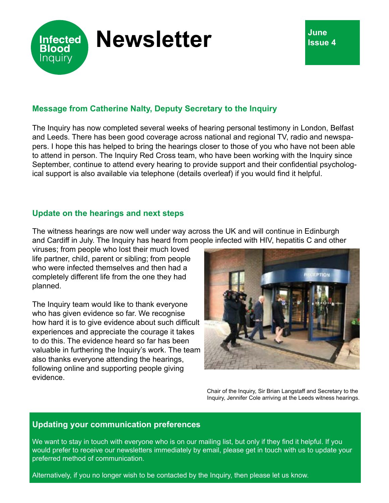

## **Message from Catherine Nalty, Deputy Secretary to the Inquiry**

The Inquiry has now completed several weeks of hearing personal testimony in London, Belfast and Leeds. There has been good coverage across national and regional TV, radio and newspapers. I hope this has helped to bring the hearings closer to those of you who have not been able to attend in person. The Inquiry Red Cross team, who have been working with the Inquiry since September, continue to attend every hearing to provide support and their confidential psychological support is also available via telephone (details overleaf) if you would find it helpful.

## **Update on the hearings and next steps**

The witness hearings are now well under way across the UK and will continue in Edinburgh and Cardiff in July. The Inquiry has heard from people infected with HIV, hepatitis C and other

viruses; from people who lost their much loved life partner, child, parent or sibling; from people who were infected themselves and then had a completely different life from the one they had planned.

The Inquiry team would like to thank everyone who has given evidence so far. We recognise how hard it is to give evidence about such difficult experiences and appreciate the courage it takes to do this. The evidence heard so far has been valuable in furthering the Inquiry's work. The team also thanks everyone attending the hearings, following online and supporting people giving evidence.



Chair of the Inquiry, Sir Brian Langstaff and Secretary to the Inquiry, Jennifer Cole arriving at the Leeds witness hearings.

## **Updating your communication preferences**

We want to stay in touch with everyone who is on our mailing list, but only if they find it helpful. If you would prefer to receive our newsletters immediately by email, please get in touch with us to update your preferred method of communication.

Alternatively, if you no longer wish to be contacted by the Inquiry, then please let us know.